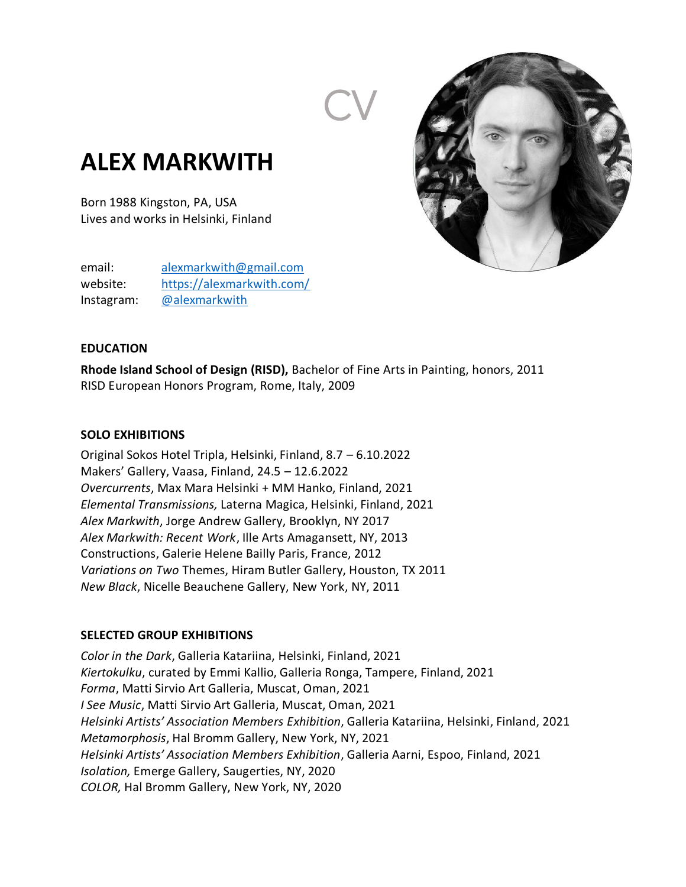

# **ALEX MARKWITH**

Born 1988 Kingston, PA, USA Lives and works in Helsinki, Finland

email: [alexmarkwith@gmail.com](mailto:alexmarkwith@gmail.com) website: <https://alexmarkwith.com/> Instagram: [@alexmarkwith](https://www.instagram.com/alexmarkwith/)

#### **EDUCATION**

**Rhode Island School of Design (RISD),** Bachelor of Fine Arts in Painting, honors, 2011 RISD European Honors Program, Rome, Italy, 2009

#### **SOLO EXHIBITIONS**

Original Sokos Hotel Tripla, Helsinki, Finland, 8.7 – 6.10.2022 Makers' Gallery, Vaasa, Finland, 24.5 – 12.6.2022 *Overcurrents*, Max Mara Helsinki + MM Hanko, Finland, 2021 *Elemental Transmissions,* Laterna Magica, Helsinki, Finland, 2021 *Alex Markwith*, Jorge Andrew Gallery, Brooklyn, NY 2017 *Alex Markwith: Recent Work*, Ille Arts Amagansett, NY, 2013 Constructions, Galerie Helene Bailly Paris, France, 2012 *Variations on Two* Themes, Hiram Butler Gallery, Houston, TX 2011 *New Black*, Nicelle Beauchene Gallery, New York, NY, 2011

### **SELECTED GROUP EXHIBITIONS**

*Color in the Dark*, Galleria Katariina, Helsinki, Finland, 2021 *Kiertokulku*, curated by Emmi Kallio, Galleria Ronga, Tampere, Finland, 2021 *Forma*, Matti Sirvio Art Galleria, Muscat, Oman, 2021 *I See Music*, Matti Sirvio Art Galleria, Muscat, Oman, 2021 *Helsinki Artists' Association Members Exhibition*, Galleria Katariina, Helsinki, Finland, 2021 *Metamorphosis*, Hal Bromm Gallery, New York, NY, 2021 *Helsinki Artists' Association Members Exhibition*, Galleria Aarni, Espoo, Finland, 2021 *Isolation,* Emerge Gallery, Saugerties, NY, 2020 *COLOR,* Hal Bromm Gallery, New York, NY, 2020